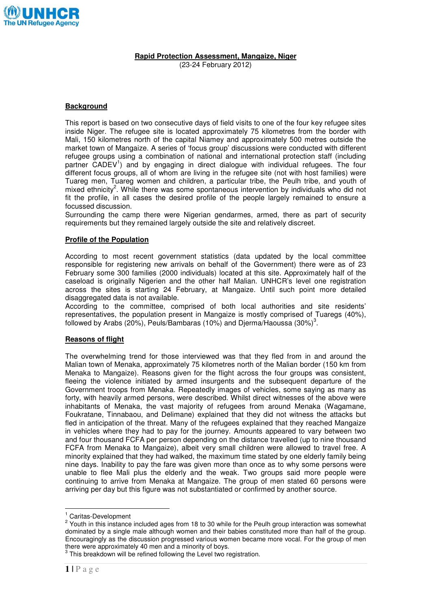

**Rapid Protection Assessment, Mangaize, Niger** 

(23-24 February 2012)

## **Background**

This report is based on two consecutive days of field visits to one of the four key refugee sites inside Niger. The refugee site is located approximately 75 kilometres from the border with Mali, 150 kilometres north of the capital Niamey and approximately 500 metres outside the market town of Mangaize. A series of 'focus group' discussions were conducted with different refugee groups using a combination of national and international protection staff (including partner CADEV<sup>1</sup>) and by engaging in direct dialogue with individual refugees. The four different focus groups, all of whom are living in the refugee site (not with host families) were Tuareg men, Tuareg women and children, a particular tribe, the Peulh tribe, and youth of mixed ethnicity<sup>2</sup>. While there was some spontaneous intervention by individuals who did not fit the profile, in all cases the desired profile of the people largely remained to ensure a focussed discussion.

Surrounding the camp there were Nigerian gendarmes, armed, there as part of security requirements but they remained largely outside the site and relatively discreet.

# **Profile of the Population**

According to most recent government statistics (data updated by the local committee responsible for registering new arrivals on behalf of the Government) there were as of 23 February some 300 families (2000 individuals) located at this site. Approximately half of the caseload is originally Nigerien and the other half Malian. UNHCR's level one registration across the sites is starting 24 February, at Mangaize. Until such point more detailed disaggregated data is not available.

According to the committee, comprised of both local authorities and site residents' representatives, the population present in Mangaize is mostly comprised of Tuaregs (40%), followed by Arabs (20%), Peuls/Bambaras (10%) and Djerma/Haoussa (30%) $^3$ .

### **Reasons of flight**

The overwhelming trend for those interviewed was that they fled from in and around the Malian town of Menaka, approximately 75 kilometres north of the Malian border (150 km from Menaka to Mangaize). Reasons given for the flight across the four groups was consistent, fleeing the violence initiated by armed insurgents and the subsequent departure of the Government troops from Menaka. Repeatedly images of vehicles, some saying as many as forty, with heavily armed persons, were described. Whilst direct witnesses of the above were inhabitants of Menaka, the vast majority of refugees from around Menaka (Wagamane, Foukratane, Tinnabaou, and Delimane) explained that they did not witness the attacks but fled in anticipation of the threat. Many of the refugees explained that they reached Mangaize in vehicles where they had to pay for the journey. Amounts appeared to vary between two and four thousand FCFA per person depending on the distance travelled (up to nine thousand FCFA from Menaka to Mangaize), albeit very small children were allowed to travel free. A minority explained that they had walked, the maximum time stated by one elderly family being nine days. Inability to pay the fare was given more than once as to why some persons were unable to flee Mali plus the elderly and the weak. Two groups said more people were continuing to arrive from Menaka at Mangaize. The group of men stated 60 persons were arriving per day but this figure was not substantiated or confirmed by another source.

 1 Caritas-Development

 $2$  Youth in this instance included ages from 18 to 30 while for the Peulh group interaction was somewhat dominated by a single male although women and their babies constituted more than half of the group. Encouragingly as the discussion progressed various women became more vocal. For the group of men there were approximately 40 men and a minority of boys.

 $3$  This breakdown will be refined following the Level two registration.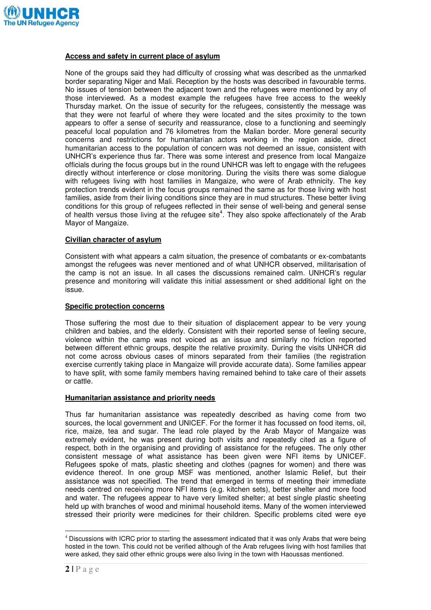

### **Access and safety in current place of asylum**

None of the groups said they had difficulty of crossing what was described as the unmarked border separating Niger and Mali. Reception by the hosts was described in favourable terms. No issues of tension between the adjacent town and the refugees were mentioned by any of those interviewed. As a modest example the refugees have free access to the weekly Thursday market. On the issue of security for the refugees, consistently the message was that they were not fearful of where they were located and the sites proximity to the town appears to offer a sense of security and reassurance, close to a functioning and seemingly peaceful local population and 76 kilometres from the Malian border. More general security concerns and restrictions for humanitarian actors working in the region aside, direct humanitarian access to the population of concern was not deemed an issue, consistent with UNHCR's experience thus far. There was some interest and presence from local Mangaize officials during the focus groups but in the round UNHCR was left to engage with the refugees directly without interference or close monitoring. During the visits there was some dialogue with refugees living with host families in Mangaize, who were of Arab ethnicity. The key protection trends evident in the focus groups remained the same as for those living with host families, aside from their living conditions since they are in mud structures. These better living conditions for this group of refugees reflected in their sense of well-being and general sense of health versus those living at the refugee site<sup>4</sup>. They also spoke affectionately of the Arab Mayor of Mangaize.

### **Civilian character of asylum**

Consistent with what appears a calm situation, the presence of combatants or ex-combatants amongst the refugees was never mentioned and of what UNHCR observed, militarisation of the camp is not an issue. In all cases the discussions remained calm. UNHCR's regular presence and monitoring will validate this initial assessment or shed additional light on the issue.

### **Specific protection concerns**

Those suffering the most due to their situation of displacement appear to be very young children and babies, and the elderly. Consistent with their reported sense of feeling secure, violence within the camp was not voiced as an issue and similarly no friction reported between different ethnic groups, despite the relative proximity. During the visits UNHCR did not come across obvious cases of minors separated from their families (the registration exercise currently taking place in Mangaize will provide accurate data). Some families appear to have split, with some family members having remained behind to take care of their assets or cattle.

#### **Humanitarian assistance and priority needs**

Thus far humanitarian assistance was repeatedly described as having come from two sources, the local government and UNICEF. For the former it has focussed on food items, oil, rice, maize, tea and sugar. The lead role played by the Arab Mayor of Mangaize was extremely evident, he was present during both visits and repeatedly cited as a figure of respect, both in the organising and providing of assistance for the refugees. The only other consistent message of what assistance has been given were NFI items by UNICEF. Refugees spoke of mats, plastic sheeting and clothes (pagnes for women) and there was evidence thereof. In one group MSF was mentioned, another Islamic Relief, but their assistance was not specified. The trend that emerged in terms of meeting their immediate needs centred on receiving more NFI items (e.g. kitchen sets), better shelter and more food and water. The refugees appear to have very limited shelter; at best single plastic sheeting held up with branches of wood and minimal household items. Many of the women interviewed stressed their priority were medicines for their children. Specific problems cited were eye

 $\overline{a}$ <sup>4</sup> Discussions with ICRC prior to starting the assessment indicated that it was only Arabs that were being hosted in the town. This could not be verified although of the Arab refugees living with host families that were asked, they said other ethnic groups were also living in the town with Haoussas mentioned.